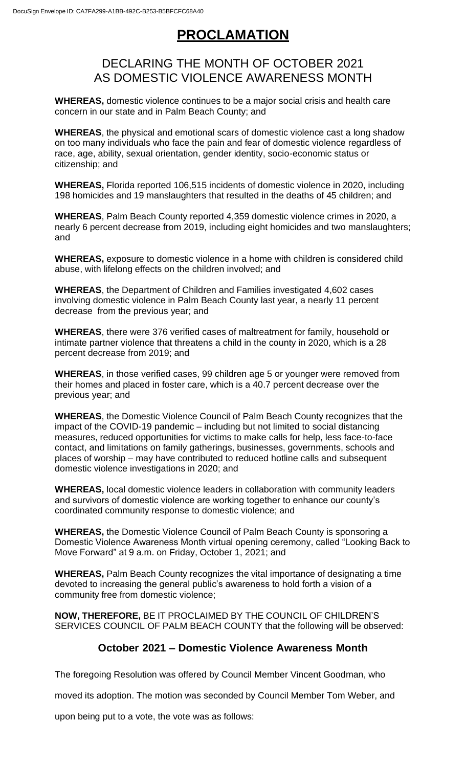## **PROCLAMATION**

## DECLARING THE MONTH OF OCTOBER 2021 AS DOMESTIC VIOLENCE AWARENESS MONTH

**WHEREAS,** domestic violence continues to be a major social crisis and health care concern in our state and in Palm Beach County; and

**WHEREAS**, the physical and emotional scars of domestic violence cast a long shadow on too many individuals who face the pain and fear of domestic violence regardless of race, age, ability, sexual orientation, gender identity, socio-economic status or citizenship; and

**WHEREAS,** Florida reported 106,515 incidents of domestic violence in 2020, including 198 homicides and 19 manslaughters that resulted in the deaths of 45 children; and

**WHEREAS**, Palm Beach County reported 4,359 domestic violence crimes in 2020, a nearly 6 percent decrease from 2019, including eight homicides and two manslaughters; and

**WHEREAS,** exposure to domestic violence in a home with children is considered child abuse, with lifelong effects on the children involved; and

**WHEREAS**, the Department of Children and Families investigated 4,602 cases involving domestic violence in Palm Beach County last year, a nearly 11 percent decrease from the previous year; and

**WHEREAS**, there were 376 verified cases of maltreatment for family, household or intimate partner violence that threatens a child in the county in 2020, which is a 28 percent decrease from 2019; and

**WHEREAS**, in those verified cases, 99 children age 5 or younger were removed from their homes and placed in foster care, which is a 40.7 percent decrease over the previous year; and

**WHEREAS**, the Domestic Violence Council of Palm Beach County recognizes that the impact of the COVID-19 pandemic – including but not limited to social distancing measures, reduced opportunities for victims to make calls for help, less face-to-face contact, and limitations on family gatherings, businesses, governments, schools and places of worship – may have contributed to reduced hotline calls and subsequent domestic violence investigations in 2020; and

**WHEREAS,** local domestic violence leaders in collaboration with community leaders and survivors of domestic violence are working together to enhance our county's coordinated community response to domestic violence; and

**WHEREAS,** the Domestic Violence Council of Palm Beach County is sponsoring a Domestic Violence Awareness Month virtual opening ceremony, called "Looking Back to Move Forward" at 9 a.m. on Friday, October 1, 2021; and

**WHEREAS,** Palm Beach County recognizes the vital importance of designating a time devoted to increasing the general public's awareness to hold forth a vision of a community free from domestic violence;

**NOW, THEREFORE,** BE IT PROCLAIMED BY THE COUNCIL OF CHILDREN'S SERVICES COUNCIL OF PALM BEACH COUNTY that the following will be observed:

## **October 2021 – Domestic Violence Awareness Month**

The foregoing Resolution was offered by Council Member Vincent Goodman, who

moved its adoption. The motion was seconded by Council Member Tom Weber, and

upon being put to a vote, the vote was as follows: